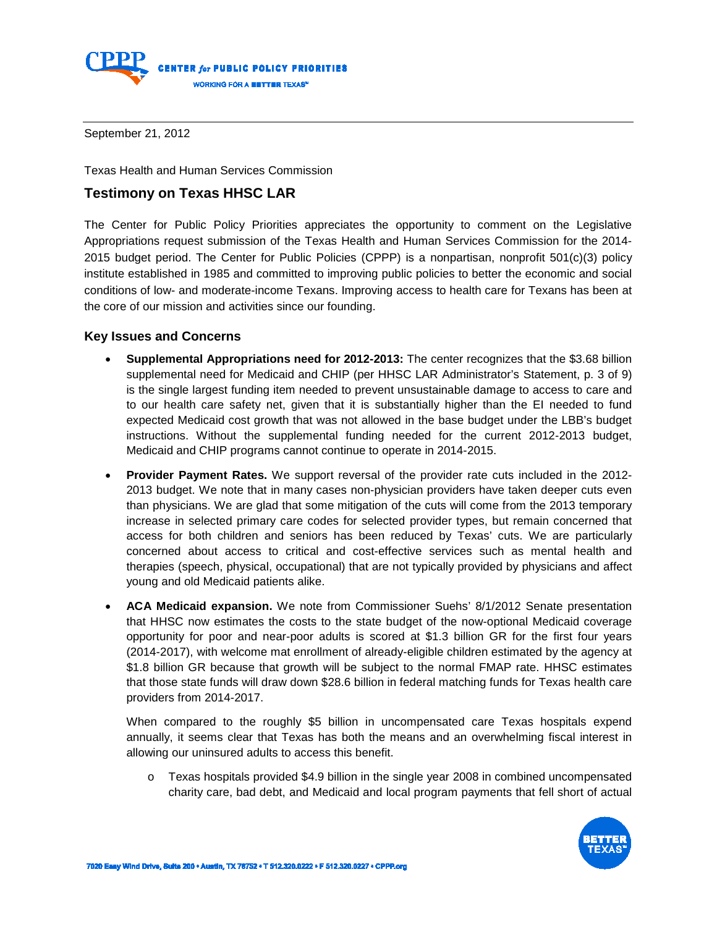

September 21, 2012

Texas Health and Human Services Commission

## **Testimony on Texas HHSC LAR**

The Center for Public Policy Priorities appreciates the opportunity to comment on the Legislative Appropriations request submission of the Texas Health and Human Services Commission for the 2014- 2015 budget period. The Center for Public Policies (CPPP) is a nonpartisan, nonprofit 501(c)(3) policy institute established in 1985 and committed to improving public policies to better the economic and social conditions of low- and moderate-income Texans. Improving access to health care for Texans has been at the core of our mission and activities since our founding.

## **Key Issues and Concerns**

- **Supplemental Appropriations need for 2012-2013:** The center recognizes that the \$3.68 billion supplemental need for Medicaid and CHIP (per HHSC LAR Administrator's Statement, p. 3 of 9) is the single largest funding item needed to prevent unsustainable damage to access to care and to our health care safety net, given that it is substantially higher than the EI needed to fund expected Medicaid cost growth that was not allowed in the base budget under the LBB's budget instructions. Without the supplemental funding needed for the current 2012-2013 budget, Medicaid and CHIP programs cannot continue to operate in 2014-2015.
- **Provider Payment Rates.** We support reversal of the provider rate cuts included in the 2012- 2013 budget. We note that in many cases non-physician providers have taken deeper cuts even than physicians. We are glad that some mitigation of the cuts will come from the 2013 temporary increase in selected primary care codes for selected provider types, but remain concerned that access for both children and seniors has been reduced by Texas' cuts. We are particularly concerned about access to critical and cost-effective services such as mental health and therapies (speech, physical, occupational) that are not typically provided by physicians and affect young and old Medicaid patients alike.
- **ACA Medicaid expansion.** We note from Commissioner Suehs' 8/1/2012 Senate presentation that HHSC now estimates the costs to the state budget of the now-optional Medicaid coverage opportunity for poor and near-poor adults is scored at \$1.3 billion GR for the first four years (2014-2017), with welcome mat enrollment of already-eligible children estimated by the agency at \$1.8 billion GR because that growth will be subject to the normal FMAP rate. HHSC estimates that those state funds will draw down \$28.6 billion in federal matching funds for Texas health care providers from 2014-2017.

When compared to the roughly \$5 billion in uncompensated care Texas hospitals expend annually, it seems clear that Texas has both the means and an overwhelming fiscal interest in allowing our uninsured adults to access this benefit.

o Texas hospitals provided \$4.9 billion in the single year 2008 in combined uncompensated charity care, bad debt, and Medicaid and local program payments that fell short of actual

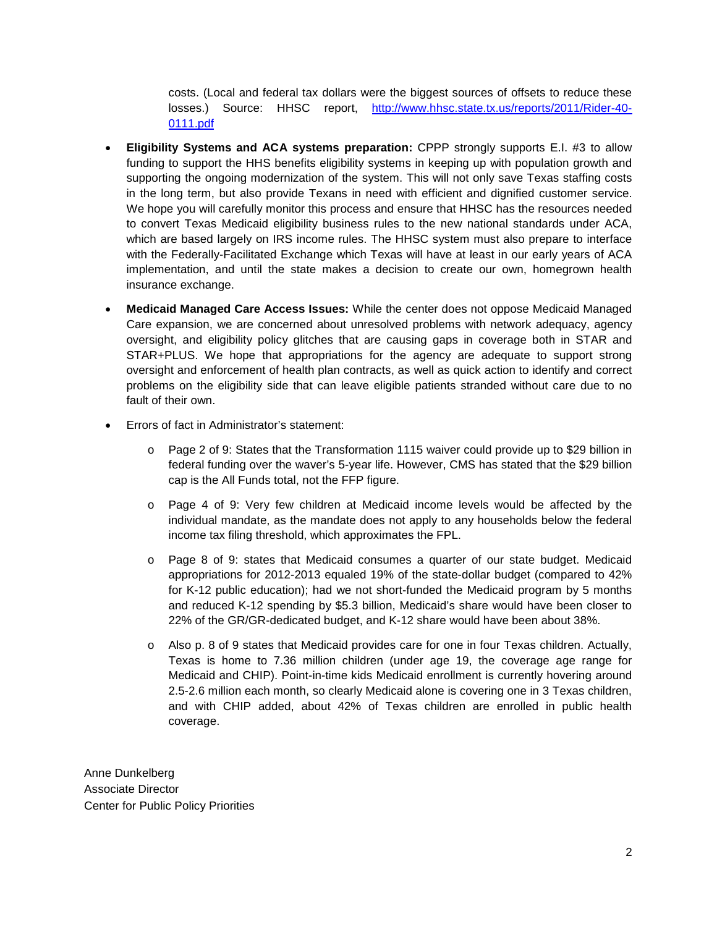costs. (Local and federal tax dollars were the biggest sources of offsets to reduce these losses.) Source: HHSC report, [http://www.hhsc.state.tx.us/reports/2011/Rider-40-](http://www.hhsc.state.tx.us/reports/2011/Rider-40-0111.pdf) [0111.pdf](http://www.hhsc.state.tx.us/reports/2011/Rider-40-0111.pdf)

- **Eligibility Systems and ACA systems preparation:** CPPP strongly supports E.I. #3 to allow funding to support the HHS benefits eligibility systems in keeping up with population growth and supporting the ongoing modernization of the system. This will not only save Texas staffing costs in the long term, but also provide Texans in need with efficient and dignified customer service. We hope you will carefully monitor this process and ensure that HHSC has the resources needed to convert Texas Medicaid eligibility business rules to the new national standards under ACA, which are based largely on IRS income rules. The HHSC system must also prepare to interface with the Federally-Facilitated Exchange which Texas will have at least in our early years of ACA implementation, and until the state makes a decision to create our own, homegrown health insurance exchange.
- **Medicaid Managed Care Access Issues:** While the center does not oppose Medicaid Managed Care expansion, we are concerned about unresolved problems with network adequacy, agency oversight, and eligibility policy glitches that are causing gaps in coverage both in STAR and STAR+PLUS. We hope that appropriations for the agency are adequate to support strong oversight and enforcement of health plan contracts, as well as quick action to identify and correct problems on the eligibility side that can leave eligible patients stranded without care due to no fault of their own.
- Errors of fact in Administrator's statement:
	- o Page 2 of 9: States that the Transformation 1115 waiver could provide up to \$29 billion in federal funding over the waver's 5-year life. However, CMS has stated that the \$29 billion cap is the All Funds total, not the FFP figure.
	- o Page 4 of 9: Very few children at Medicaid income levels would be affected by the individual mandate, as the mandate does not apply to any households below the federal income tax filing threshold, which approximates the FPL.
	- o Page 8 of 9: states that Medicaid consumes a quarter of our state budget. Medicaid appropriations for 2012-2013 equaled 19% of the state-dollar budget (compared to 42% for K-12 public education); had we not short-funded the Medicaid program by 5 months and reduced K-12 spending by \$5.3 billion, Medicaid's share would have been closer to 22% of the GR/GR-dedicated budget, and K-12 share would have been about 38%.
	- $\circ$  Also p. 8 of 9 states that Medicaid provides care for one in four Texas children. Actually, Texas is home to 7.36 million children (under age 19, the coverage age range for Medicaid and CHIP). Point-in-time kids Medicaid enrollment is currently hovering around 2.5-2.6 million each month, so clearly Medicaid alone is covering one in 3 Texas children, and with CHIP added, about 42% of Texas children are enrolled in public health coverage.

Anne Dunkelberg Associate Director Center for Public Policy Priorities